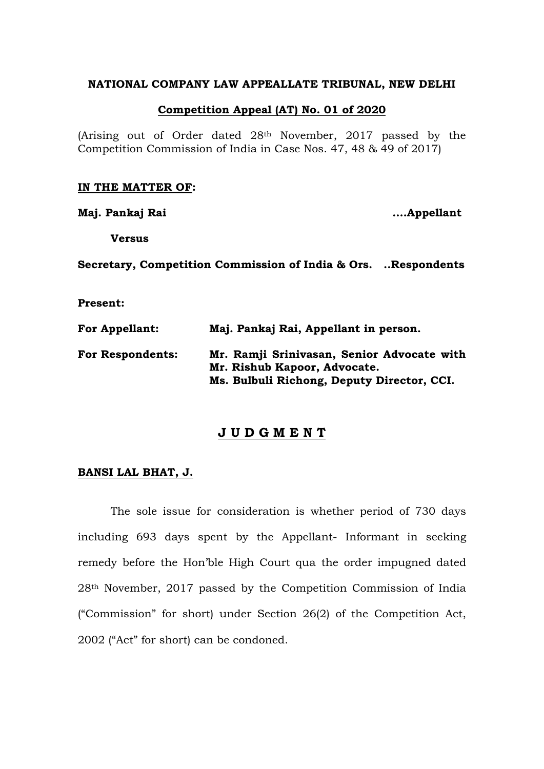## **NATIONAL COMPANY LAW APPEALLATE TRIBUNAL, NEW DELHI**

## **Competition Appeal (AT) No. 01 of 2020**

(Arising out of Order dated 28th November, 2017 passed by the Competition Commission of India in Case Nos. 47, 48 & 49 of 2017)

#### **IN THE MATTER OF:**

**Maj. Pankaj Rai ….Appellant**

**Versus**

**Secretary, Competition Commission of India & Ors. ..Respondents**

**Present:**

| <b>For Appellant:</b>   | Maj. Pankaj Rai, Appellant in person.                                      |
|-------------------------|----------------------------------------------------------------------------|
| <b>For Respondents:</b> | Mr. Ramji Srinivasan, Senior Advocate with<br>Mr. Rishub Kapoor, Advocate. |
|                         | Ms. Bulbuli Richong, Deputy Director, CCI.                                 |

# **J U D G M E N T**

### **BANSI LAL BHAT, J.**

The sole issue for consideration is whether period of 730 days including 693 days spent by the Appellant- Informant in seeking remedy before the Hon'ble High Court qua the order impugned dated 28th November, 2017 passed by the Competition Commission of India ("Commission" for short) under Section 26(2) of the Competition Act, 2002 ("Act" for short) can be condoned.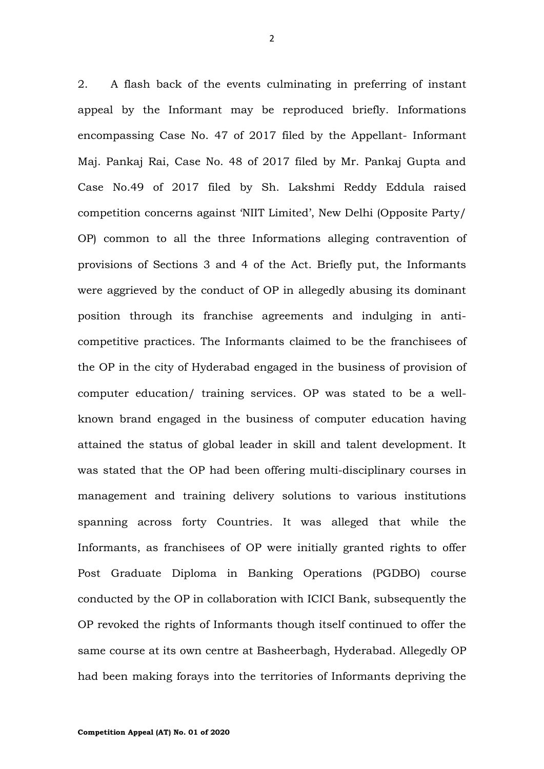2. A flash back of the events culminating in preferring of instant appeal by the Informant may be reproduced briefly. Informations encompassing Case No. 47 of 2017 filed by the Appellant- Informant Maj. Pankaj Rai, Case No. 48 of 2017 filed by Mr. Pankaj Gupta and Case No.49 of 2017 filed by Sh. Lakshmi Reddy Eddula raised competition concerns against 'NIIT Limited', New Delhi (Opposite Party/ OP) common to all the three Informations alleging contravention of provisions of Sections 3 and 4 of the Act. Briefly put, the Informants were aggrieved by the conduct of OP in allegedly abusing its dominant position through its franchise agreements and indulging in anticompetitive practices. The Informants claimed to be the franchisees of the OP in the city of Hyderabad engaged in the business of provision of computer education/ training services. OP was stated to be a wellknown brand engaged in the business of computer education having attained the status of global leader in skill and talent development. It was stated that the OP had been offering multi-disciplinary courses in management and training delivery solutions to various institutions spanning across forty Countries. It was alleged that while the Informants, as franchisees of OP were initially granted rights to offer Post Graduate Diploma in Banking Operations (PGDBO) course conducted by the OP in collaboration with ICICI Bank, subsequently the OP revoked the rights of Informants though itself continued to offer the same course at its own centre at Basheerbagh, Hyderabad. Allegedly OP had been making forays into the territories of Informants depriving the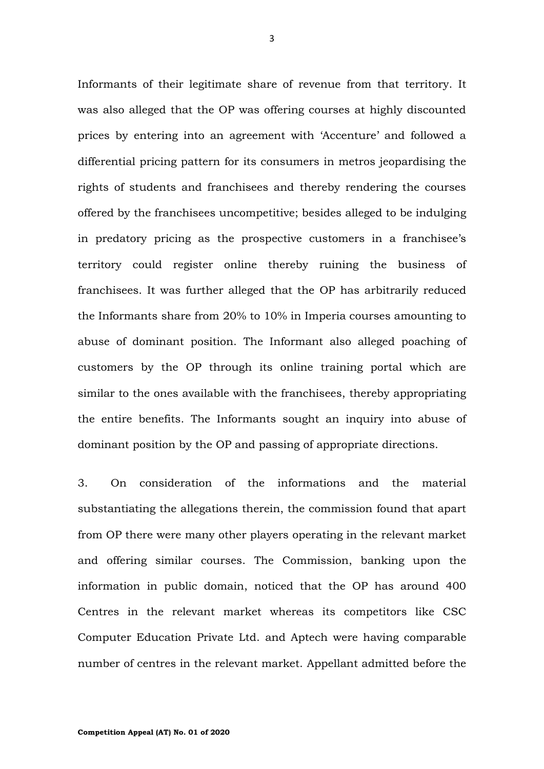Informants of their legitimate share of revenue from that territory. It was also alleged that the OP was offering courses at highly discounted prices by entering into an agreement with 'Accenture' and followed a differential pricing pattern for its consumers in metros jeopardising the rights of students and franchisees and thereby rendering the courses offered by the franchisees uncompetitive; besides alleged to be indulging in predatory pricing as the prospective customers in a franchisee's territory could register online thereby ruining the business of franchisees. It was further alleged that the OP has arbitrarily reduced the Informants share from 20% to 10% in Imperia courses amounting to abuse of dominant position. The Informant also alleged poaching of customers by the OP through its online training portal which are similar to the ones available with the franchisees, thereby appropriating the entire benefits. The Informants sought an inquiry into abuse of dominant position by the OP and passing of appropriate directions.

3. On consideration of the informations and the material substantiating the allegations therein, the commission found that apart from OP there were many other players operating in the relevant market and offering similar courses. The Commission, banking upon the information in public domain, noticed that the OP has around 400 Centres in the relevant market whereas its competitors like CSC Computer Education Private Ltd. and Aptech were having comparable number of centres in the relevant market. Appellant admitted before the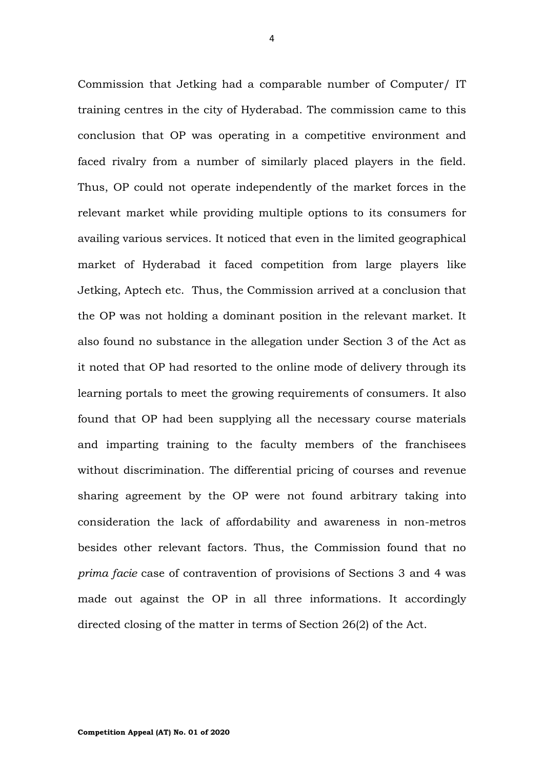Commission that Jetking had a comparable number of Computer/ IT training centres in the city of Hyderabad. The commission came to this conclusion that OP was operating in a competitive environment and faced rivalry from a number of similarly placed players in the field. Thus, OP could not operate independently of the market forces in the relevant market while providing multiple options to its consumers for availing various services. It noticed that even in the limited geographical market of Hyderabad it faced competition from large players like Jetking, Aptech etc. Thus, the Commission arrived at a conclusion that the OP was not holding a dominant position in the relevant market. It also found no substance in the allegation under Section 3 of the Act as it noted that OP had resorted to the online mode of delivery through its learning portals to meet the growing requirements of consumers. It also found that OP had been supplying all the necessary course materials and imparting training to the faculty members of the franchisees without discrimination. The differential pricing of courses and revenue sharing agreement by the OP were not found arbitrary taking into consideration the lack of affordability and awareness in non-metros besides other relevant factors. Thus, the Commission found that no *prima facie* case of contravention of provisions of Sections 3 and 4 was made out against the OP in all three informations. It accordingly directed closing of the matter in terms of Section 26(2) of the Act.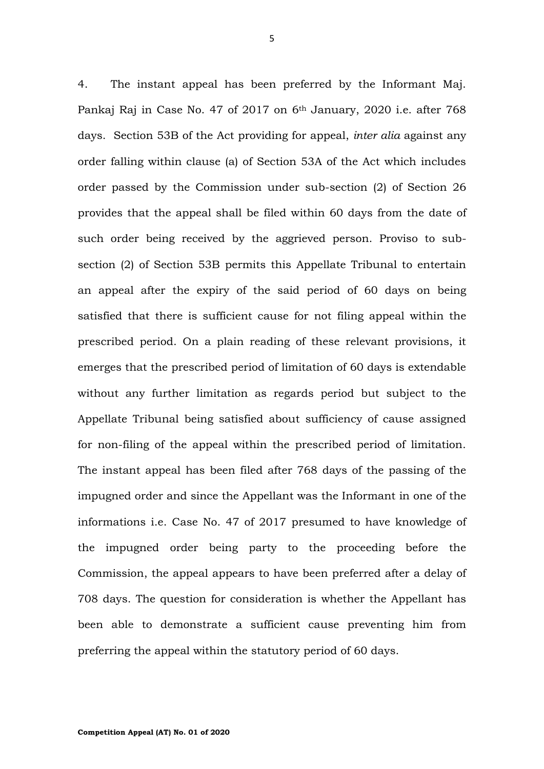4. The instant appeal has been preferred by the Informant Maj. Pankaj Raj in Case No. 47 of 2017 on 6<sup>th</sup> January, 2020 i.e. after 768 days. Section 53B of the Act providing for appeal, *inter alia* against any order falling within clause (a) of Section 53A of the Act which includes order passed by the Commission under sub-section (2) of Section 26 provides that the appeal shall be filed within 60 days from the date of such order being received by the aggrieved person. Proviso to subsection (2) of Section 53B permits this Appellate Tribunal to entertain an appeal after the expiry of the said period of 60 days on being satisfied that there is sufficient cause for not filing appeal within the prescribed period. On a plain reading of these relevant provisions, it emerges that the prescribed period of limitation of 60 days is extendable without any further limitation as regards period but subject to the Appellate Tribunal being satisfied about sufficiency of cause assigned for non-filing of the appeal within the prescribed period of limitation. The instant appeal has been filed after 768 days of the passing of the impugned order and since the Appellant was the Informant in one of the informations i.e. Case No. 47 of 2017 presumed to have knowledge of the impugned order being party to the proceeding before the Commission, the appeal appears to have been preferred after a delay of 708 days. The question for consideration is whether the Appellant has been able to demonstrate a sufficient cause preventing him from preferring the appeal within the statutory period of 60 days.

5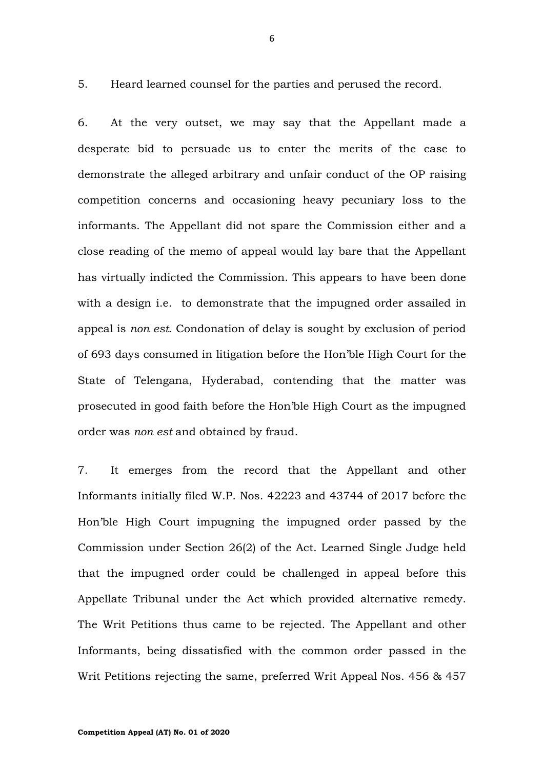5. Heard learned counsel for the parties and perused the record.

6. At the very outset, we may say that the Appellant made a desperate bid to persuade us to enter the merits of the case to demonstrate the alleged arbitrary and unfair conduct of the OP raising competition concerns and occasioning heavy pecuniary loss to the informants. The Appellant did not spare the Commission either and a close reading of the memo of appeal would lay bare that the Appellant has virtually indicted the Commission. This appears to have been done with a design i.e. to demonstrate that the impugned order assailed in appeal is *non est*. Condonation of delay is sought by exclusion of period of 693 days consumed in litigation before the Hon'ble High Court for the State of Telengana, Hyderabad, contending that the matter was prosecuted in good faith before the Hon'ble High Court as the impugned order was *non est* and obtained by fraud.

7. It emerges from the record that the Appellant and other Informants initially filed W.P. Nos. 42223 and 43744 of 2017 before the Hon'ble High Court impugning the impugned order passed by the Commission under Section 26(2) of the Act. Learned Single Judge held that the impugned order could be challenged in appeal before this Appellate Tribunal under the Act which provided alternative remedy. The Writ Petitions thus came to be rejected. The Appellant and other Informants, being dissatisfied with the common order passed in the Writ Petitions rejecting the same, preferred Writ Appeal Nos. 456 & 457

6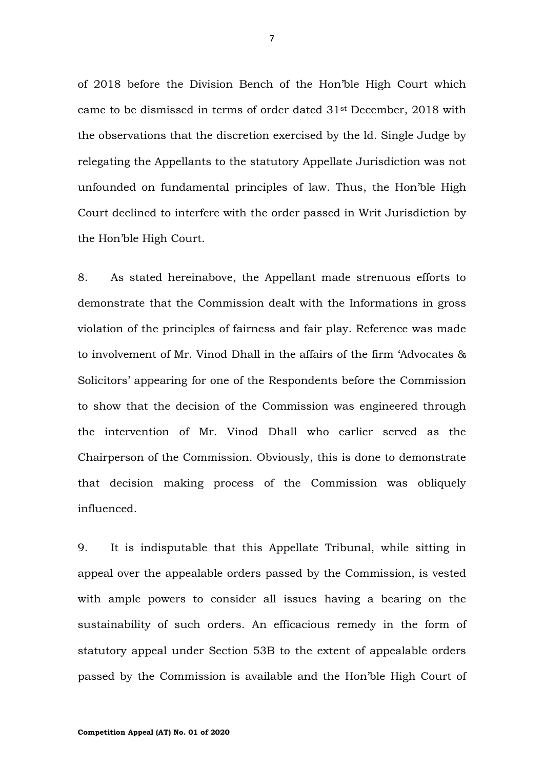of 2018 before the Division Bench of the Hon'ble High Court which came to be dismissed in terms of order dated 31st December, 2018 with the observations that the discretion exercised by the ld. Single Judge by relegating the Appellants to the statutory Appellate Jurisdiction was not unfounded on fundamental principles of law. Thus, the Hon'ble High Court declined to interfere with the order passed in Writ Jurisdiction by the Hon'ble High Court.

8. As stated hereinabove, the Appellant made strenuous efforts to demonstrate that the Commission dealt with the Informations in gross violation of the principles of fairness and fair play. Reference was made to involvement of Mr. Vinod Dhall in the affairs of the firm 'Advocates & Solicitors' appearing for one of the Respondents before the Commission to show that the decision of the Commission was engineered through the intervention of Mr. Vinod Dhall who earlier served as the Chairperson of the Commission. Obviously, this is done to demonstrate that decision making process of the Commission was obliquely influenced.

9. It is indisputable that this Appellate Tribunal, while sitting in appeal over the appealable orders passed by the Commission, is vested with ample powers to consider all issues having a bearing on the sustainability of such orders. An efficacious remedy in the form of statutory appeal under Section 53B to the extent of appealable orders passed by the Commission is available and the Hon'ble High Court of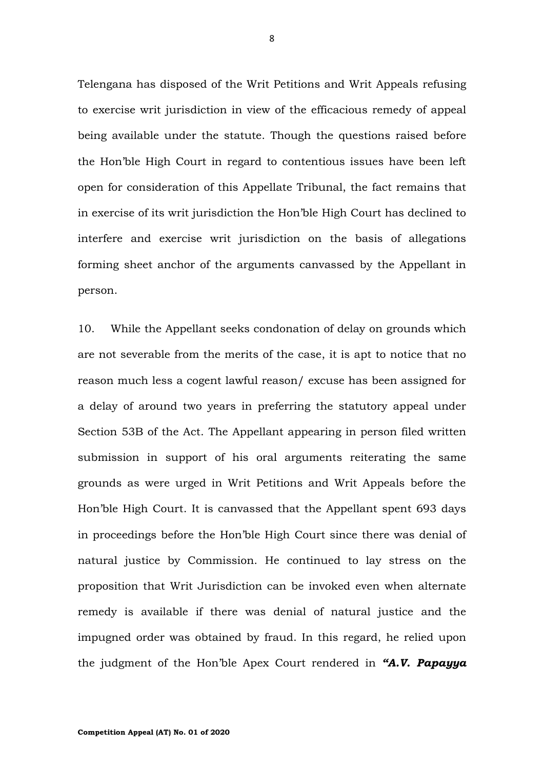Telengana has disposed of the Writ Petitions and Writ Appeals refusing to exercise writ jurisdiction in view of the efficacious remedy of appeal being available under the statute. Though the questions raised before the Hon'ble High Court in regard to contentious issues have been left open for consideration of this Appellate Tribunal, the fact remains that in exercise of its writ jurisdiction the Hon'ble High Court has declined to interfere and exercise writ jurisdiction on the basis of allegations forming sheet anchor of the arguments canvassed by the Appellant in person.

10. While the Appellant seeks condonation of delay on grounds which are not severable from the merits of the case, it is apt to notice that no reason much less a cogent lawful reason/ excuse has been assigned for a delay of around two years in preferring the statutory appeal under Section 53B of the Act. The Appellant appearing in person filed written submission in support of his oral arguments reiterating the same grounds as were urged in Writ Petitions and Writ Appeals before the Hon'ble High Court. It is canvassed that the Appellant spent 693 days in proceedings before the Hon'ble High Court since there was denial of natural justice by Commission. He continued to lay stress on the proposition that Writ Jurisdiction can be invoked even when alternate remedy is available if there was denial of natural justice and the impugned order was obtained by fraud. In this regard, he relied upon the judgment of the Hon'ble Apex Court rendered in *"A.V. Papayya* 

8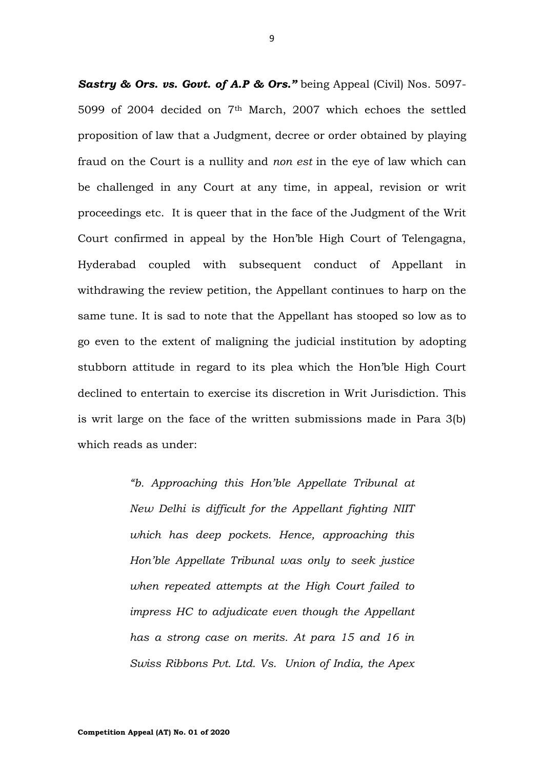*Sastry & Ors. vs. Govt. of A.P & Ors."* being Appeal (Civil) Nos. 5097- 5099 of 2004 decided on 7th March, 2007 which echoes the settled proposition of law that a Judgment, decree or order obtained by playing fraud on the Court is a nullity and *non est* in the eye of law which can be challenged in any Court at any time, in appeal, revision or writ proceedings etc. It is queer that in the face of the Judgment of the Writ Court confirmed in appeal by the Hon'ble High Court of Telengagna, Hyderabad coupled with subsequent conduct of Appellant in withdrawing the review petition, the Appellant continues to harp on the same tune. It is sad to note that the Appellant has stooped so low as to go even to the extent of maligning the judicial institution by adopting stubborn attitude in regard to its plea which the Hon'ble High Court declined to entertain to exercise its discretion in Writ Jurisdiction. This is writ large on the face of the written submissions made in Para 3(b) which reads as under:

> *"b. Approaching this Hon'ble Appellate Tribunal at New Delhi is difficult for the Appellant fighting NIIT which has deep pockets. Hence, approaching this Hon'ble Appellate Tribunal was only to seek justice when repeated attempts at the High Court failed to impress HC to adjudicate even though the Appellant has a strong case on merits. At para 15 and 16 in Swiss Ribbons Pvt. Ltd. Vs. Union of India, the Apex*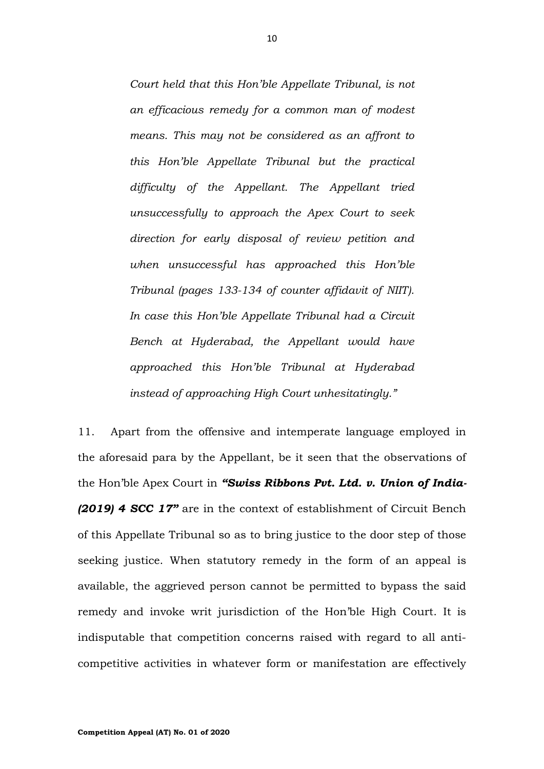*Court held that this Hon'ble Appellate Tribunal, is not an efficacious remedy for a common man of modest means. This may not be considered as an affront to this Hon'ble Appellate Tribunal but the practical difficulty of the Appellant. The Appellant tried unsuccessfully to approach the Apex Court to seek direction for early disposal of review petition and when unsuccessful has approached this Hon'ble Tribunal (pages 133-134 of counter affidavit of NIIT). In case this Hon'ble Appellate Tribunal had a Circuit Bench at Hyderabad, the Appellant would have approached this Hon'ble Tribunal at Hyderabad instead of approaching High Court unhesitatingly."*

11. Apart from the offensive and intemperate language employed in the aforesaid para by the Appellant, be it seen that the observations of the Hon'ble Apex Court in *"Swiss Ribbons Pvt. Ltd. v. Union of India- (2019) 4 SCC 17"* are in the context of establishment of Circuit Bench of this Appellate Tribunal so as to bring justice to the door step of those seeking justice. When statutory remedy in the form of an appeal is available, the aggrieved person cannot be permitted to bypass the said remedy and invoke writ jurisdiction of the Hon'ble High Court. It is indisputable that competition concerns raised with regard to all anticompetitive activities in whatever form or manifestation are effectively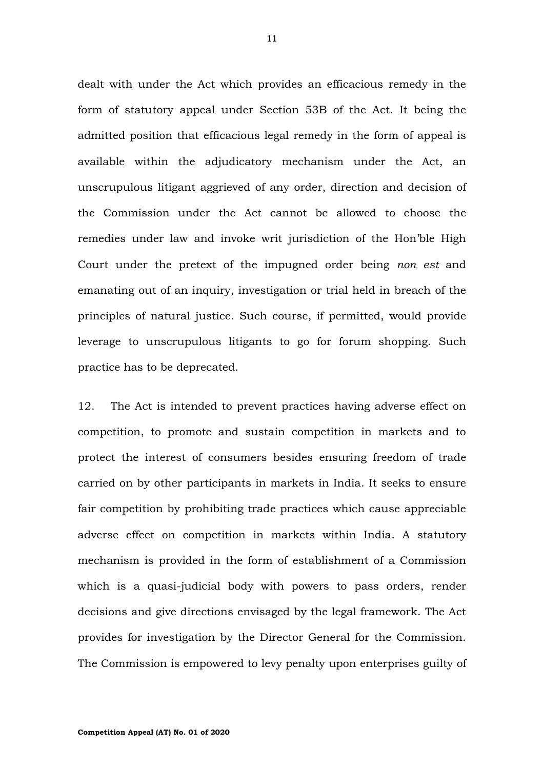dealt with under the Act which provides an efficacious remedy in the form of statutory appeal under Section 53B of the Act. It being the admitted position that efficacious legal remedy in the form of appeal is available within the adjudicatory mechanism under the Act, an unscrupulous litigant aggrieved of any order, direction and decision of the Commission under the Act cannot be allowed to choose the remedies under law and invoke writ jurisdiction of the Hon'ble High Court under the pretext of the impugned order being *non est* and emanating out of an inquiry, investigation or trial held in breach of the principles of natural justice. Such course, if permitted, would provide leverage to unscrupulous litigants to go for forum shopping. Such practice has to be deprecated.

12. The Act is intended to prevent practices having adverse effect on competition, to promote and sustain competition in markets and to protect the interest of consumers besides ensuring freedom of trade carried on by other participants in markets in India. It seeks to ensure fair competition by prohibiting trade practices which cause appreciable adverse effect on competition in markets within India. A statutory mechanism is provided in the form of establishment of a Commission which is a quasi-judicial body with powers to pass orders, render decisions and give directions envisaged by the legal framework. The Act provides for investigation by the Director General for the Commission. The Commission is empowered to levy penalty upon enterprises guilty of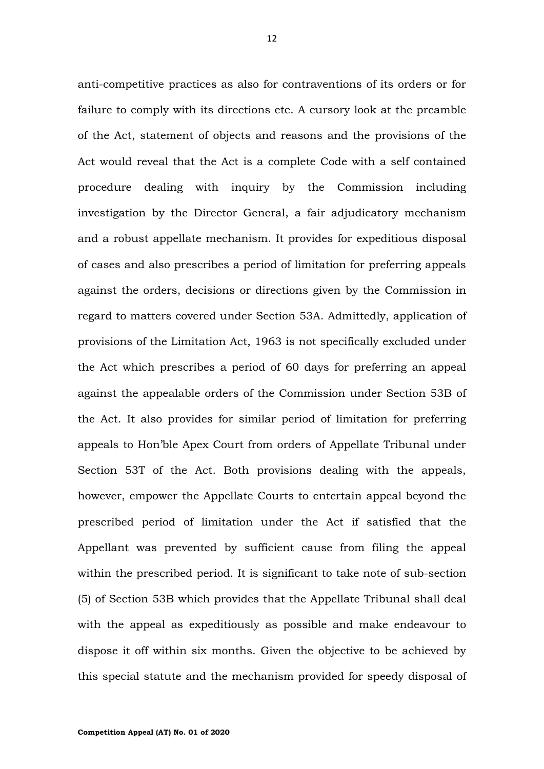anti-competitive practices as also for contraventions of its orders or for failure to comply with its directions etc. A cursory look at the preamble of the Act, statement of objects and reasons and the provisions of the Act would reveal that the Act is a complete Code with a self contained procedure dealing with inquiry by the Commission including investigation by the Director General, a fair adjudicatory mechanism and a robust appellate mechanism. It provides for expeditious disposal of cases and also prescribes a period of limitation for preferring appeals against the orders, decisions or directions given by the Commission in regard to matters covered under Section 53A. Admittedly, application of provisions of the Limitation Act, 1963 is not specifically excluded under the Act which prescribes a period of 60 days for preferring an appeal against the appealable orders of the Commission under Section 53B of the Act. It also provides for similar period of limitation for preferring appeals to Hon'ble Apex Court from orders of Appellate Tribunal under Section 53T of the Act. Both provisions dealing with the appeals, however, empower the Appellate Courts to entertain appeal beyond the prescribed period of limitation under the Act if satisfied that the Appellant was prevented by sufficient cause from filing the appeal within the prescribed period. It is significant to take note of sub-section (5) of Section 53B which provides that the Appellate Tribunal shall deal with the appeal as expeditiously as possible and make endeavour to dispose it off within six months. Given the objective to be achieved by this special statute and the mechanism provided for speedy disposal of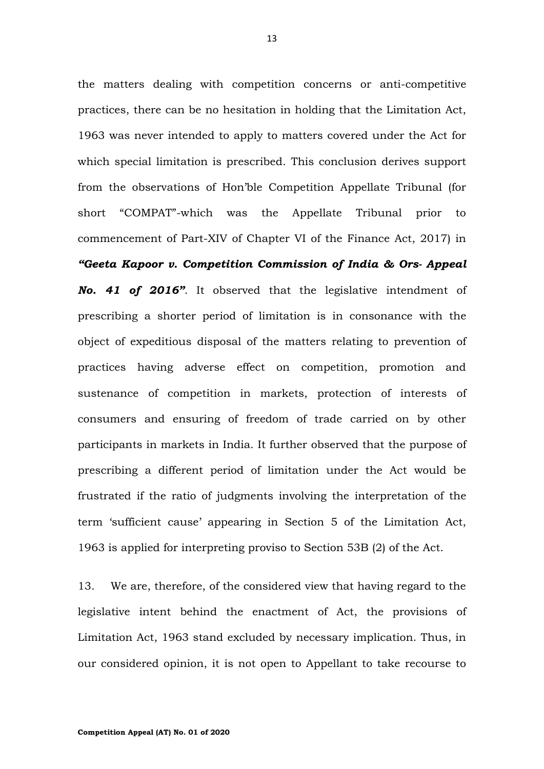the matters dealing with competition concerns or anti-competitive practices, there can be no hesitation in holding that the Limitation Act, 1963 was never intended to apply to matters covered under the Act for which special limitation is prescribed. This conclusion derives support from the observations of Hon'ble Competition Appellate Tribunal (for short "COMPAT"-which was the Appellate Tribunal prior to commencement of Part-XIV of Chapter VI of the Finance Act, 2017) in *"Geeta Kapoor v. Competition Commission of India & Ors- Appeal No. 41 of 2016"*. It observed that the legislative intendment of prescribing a shorter period of limitation is in consonance with the object of expeditious disposal of the matters relating to prevention of practices having adverse effect on competition, promotion and sustenance of competition in markets, protection of interests of consumers and ensuring of freedom of trade carried on by other participants in markets in India. It further observed that the purpose of prescribing a different period of limitation under the Act would be frustrated if the ratio of judgments involving the interpretation of the term 'sufficient cause' appearing in Section 5 of the Limitation Act, 1963 is applied for interpreting proviso to Section 53B (2) of the Act.

13. We are, therefore, of the considered view that having regard to the legislative intent behind the enactment of Act, the provisions of Limitation Act, 1963 stand excluded by necessary implication. Thus, in our considered opinion, it is not open to Appellant to take recourse to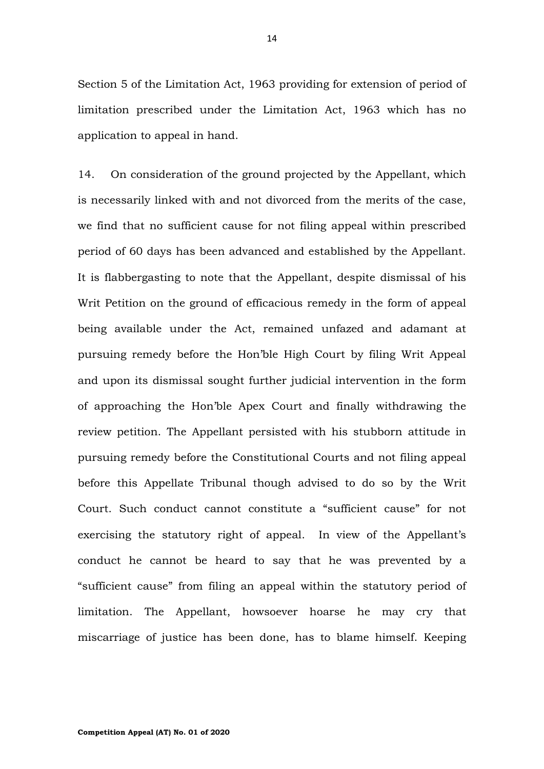Section 5 of the Limitation Act, 1963 providing for extension of period of limitation prescribed under the Limitation Act, 1963 which has no application to appeal in hand.

14. On consideration of the ground projected by the Appellant, which is necessarily linked with and not divorced from the merits of the case, we find that no sufficient cause for not filing appeal within prescribed period of 60 days has been advanced and established by the Appellant. It is flabbergasting to note that the Appellant, despite dismissal of his Writ Petition on the ground of efficacious remedy in the form of appeal being available under the Act, remained unfazed and adamant at pursuing remedy before the Hon'ble High Court by filing Writ Appeal and upon its dismissal sought further judicial intervention in the form of approaching the Hon'ble Apex Court and finally withdrawing the review petition. The Appellant persisted with his stubborn attitude in pursuing remedy before the Constitutional Courts and not filing appeal before this Appellate Tribunal though advised to do so by the Writ Court. Such conduct cannot constitute a "sufficient cause" for not exercising the statutory right of appeal. In view of the Appellant's conduct he cannot be heard to say that he was prevented by a "sufficient cause" from filing an appeal within the statutory period of limitation. The Appellant, howsoever hoarse he may cry that miscarriage of justice has been done, has to blame himself. Keeping